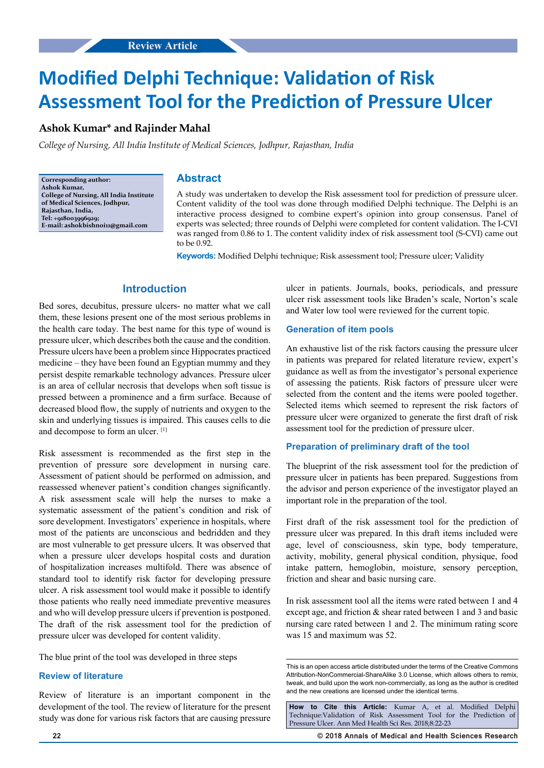# **Modified Delphi Technique: Validation of Risk Assessment Tool for the Prediction of Pressure Ulcer**

# **Ashok Kumar\* and Rajinder Mahal**

*College of Nursing, All India Institute of Medical Sciences, Jodhpur, Rajasthan, India*

**Corresponding author: Ashok Kumar, College of Nursing, All India Institute of Medical Sciences, Jodhpur, Rajasthan, India, Tel: +918003996929; E-mail: ashokbishnoi11@gmail.com**

# **Abstract**

A study was undertaken to develop the Risk assessment tool for prediction of pressure ulcer. Content validity of the tool was done through modified Delphi technique. The Delphi is an interactive process designed to combine expert's opinion into group consensus. Panel of experts was selected; three rounds of Delphi were completed for content validation. The I-CVI was ranged from 0.86 to 1. The content validity index of risk assessment tool (S-CVI) came out to be 0.92.

**Keywords:** Modified Delphi technique; Risk assessment tool; Pressure ulcer; Validity

# **Introduction**

Bed sores, decubitus, pressure ulcers- no matter what we call them, these lesions present one of the most serious problems in the health care today. The best name for this type of wound is pressure ulcer, which describes both the cause and the condition. Pressure ulcers have been a problem since Hippocrates practiced medicine – they have been found an Egyptian mummy and they persist despite remarkable technology advances. Pressure ulcer is an area of cellular necrosis that develops when soft tissue is pressed between a prominence and a firm surface. Because of decreased blood flow, the supply of nutrients and oxygen to the skin and underlying tissues is impaired. This causes cells to die and decompose to form an ulcer. [1]

Risk assessment is recommended as the first step in the prevention of pressure sore development in nursing care. Assessment of patient should be performed on admission, and reassessed whenever patient's condition changes significantly. A risk assessment scale will help the nurses to make a systematic assessment of the patient's condition and risk of sore development. Investigators' experience in hospitals, where most of the patients are unconscious and bedridden and they are most vulnerable to get pressure ulcers. It was observed that when a pressure ulcer develops hospital costs and duration of hospitalization increases multifold. There was absence of standard tool to identify risk factor for developing pressure ulcer. A risk assessment tool would make it possible to identify those patients who really need immediate preventive measures and who will develop pressure ulcers if prevention is postponed. The draft of the risk assessment tool for the prediction of pressure ulcer was developed for content validity.

The blue print of the tool was developed in three steps

## **Review of literature**

Review of literature is an important component in the development of the tool. The review of literature for the present study was done for various risk factors that are causing pressure ulcer in patients. Journals, books, periodicals, and pressure ulcer risk assessment tools like Braden's scale, Norton's scale and Water low tool were reviewed for the current topic.

## **Generation of item pools**

An exhaustive list of the risk factors causing the pressure ulcer in patients was prepared for related literature review, expert's guidance as well as from the investigator's personal experience of assessing the patients. Risk factors of pressure ulcer were selected from the content and the items were pooled together. Selected items which seemed to represent the risk factors of pressure ulcer were organized to generate the first draft of risk assessment tool for the prediction of pressure ulcer.

#### **Preparation of preliminary draft of the tool**

The blueprint of the risk assessment tool for the prediction of pressure ulcer in patients has been prepared. Suggestions from the advisor and person experience of the investigator played an important role in the preparation of the tool.

First draft of the risk assessment tool for the prediction of pressure ulcer was prepared. In this draft items included were age, level of consciousness, skin type, body temperature, activity, mobility, general physical condition, physique, food intake pattern, hemoglobin, moisture, sensory perception, friction and shear and basic nursing care.

In risk assessment tool all the items were rated between 1 and 4 except age, and friction & shear rated between 1 and 3 and basic nursing care rated between 1 and 2. The minimum rating score was 15 and maximum was 52.

**How to Cite this Article:** Kumar A, et al. Modified Delphi Technique:Validation of Risk Assessment Tool for the Prediction of Pressure Ulcer. Ann Med Health Sci Res. 2018;8:22-23

**22 © 2018 Annals of Medical and Health Sciences Research** 

This is an open access article distributed under the terms of the Creative Commons Attribution-NonCommercial-ShareAlike 3.0 License, which allows others to remix, tweak, and build upon the work non‑commercially, as long as the author is credited and the new creations are licensed under the identical terms.